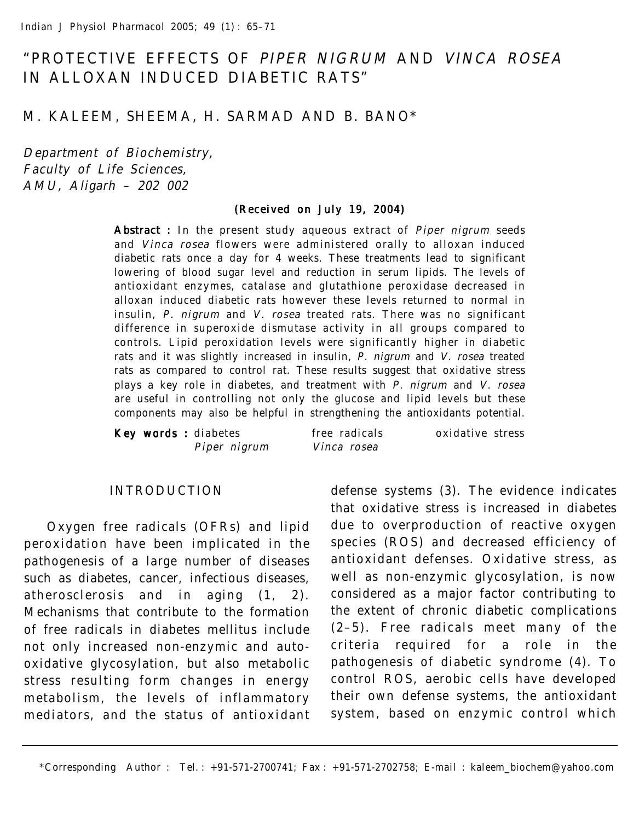# "PROTECTIVE EFFECTS OF PIPER NIGRUM AND VINCA ROSEA IN ALLOXAN INDUCED DIABETIC RATS"

# M. KALEEM, SHEEMA, H. SARMAD AND B. BANO\*

Department of Biochemistry, Faculty of Life Sciences, AMU, Aligarh – 202 002

#### (Received on July 19, 2004)

Abstract : In the present study aqueous extract of Piper nigrum seeds and Vinca rosea flowers were administered orally to alloxan induced diabetic rats once a day for 4 weeks. These treatments lead to significant lowering of blood sugar level and reduction in serum lipids. The levels of antioxidant enzymes, catalase and glutathione peroxidase decreased in alloxan induced diabetic rats however these levels returned to normal in insulin, P. nigrum and V. rosea treated rats. There was no significant difference in superoxide dismutase activity in all groups compared to controls. Lipid peroxidation levels were significantly higher in diabetic rats and it was slightly increased in insulin, P. nigrum and V. rosea treated rats as compared to control rat. These results suggest that oxidative stress plays a key role in diabetes, and treatment with P. nigrum and V. rosea are useful in controlling not only the glucose and lipid levels but these components may also be helpful in strengthening the antioxidants potential.

|  | Key words : diabetes | free radicals | oxidative stress |  |
|--|----------------------|---------------|------------------|--|
|  | Piper nigrum         | Vinca rosea   |                  |  |

#### INTRODUCTION

Oxygen free radicals (OFRs) and lipid peroxidation have been implicated in the pathogenesis of a large number of diseases such as diabetes, cancer, infectious diseases, atherosclerosis and in aging (1, 2). Mechanisms that contribute to the formation of free radicals in diabetes mellitus include not only increased non-enzymic and autooxidative glycosylation, but also metabolic stress resulting form changes in energy metabolism, the levels of inflammatory mediators, and the status of antioxidant defense systems (3). The evidence indicates that oxidative stress is increased in diabetes due to overproduction of reactive oxygen species (ROS) and decreased efficiency of antioxidant defenses. Oxidative stress, as well as non-enzymic glycosylation, is now considered as a major factor contributing to the extent of chronic diabetic complications (2–5). Free radicals meet many of the criteria required for a role in the pathogenesis of diabetic syndrome (4). To control ROS, aerobic cells have developed their own defense systems, the antioxidant system, based on enzymic control which

\*Corresponding Author : Tel. : +91-571-2700741; Fax : +91-571-2702758; E-mail : kaleem\_biochem@yahoo.com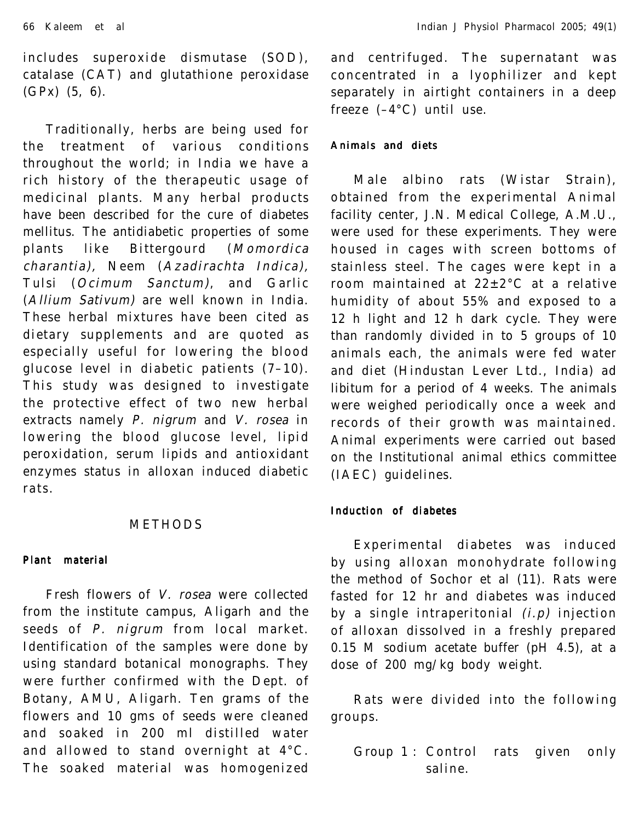includes superoxide dismutase (SOD), catalase (CAT) and glutathione peroxidase (GPx) (5, 6).

Traditionally, herbs are being used for the treatment of various conditions throughout the world; in India we have a rich history of the therapeutic usage of medicinal plants. Many herbal products have been described for the cure of diabetes mellitus. The antidiabetic properties of some plants like Bittergourd (Momordica charantia), Neem (Azadirachta Indica), Tulsi (Ocimum Sanctum), and Garlic (Allium Sativum) are well known in India. These herbal mixtures have been cited as dietary supplements and are quoted as especially useful for lowering the blood glucose level in diabetic patients (7–10). This study was designed to investigate the protective effect of two new herbal extracts namely P. nigrum and V. rosea in lowering the blood glucose level, lipid peroxidation, serum lipids and antioxidant enzymes status in alloxan induced diabetic rats.

#### METHODS

## Plant material

Fresh flowers of V. rosea were collected from the institute campus, Aligarh and the seeds of P. nigrum from local market. Identification of the samples were done by using standard botanical monographs. They were further confirmed with the Dept. of Botany, AMU, Aligarh. Ten grams of the flowers and 10 gms of seeds were cleaned and soaked in 200 ml distilled water and allowed to stand overnight at 4°C. The soaked material was homogenized

and centrifuged. The supernatant was concentrated in a lyophilizer and kept separately in airtight containers in a deep freeze (–4°C) until use.

#### Animals and diets

Male albino rats (Wistar Strain), obtained from the experimental Animal facility center, J.N. Medical College, A.M.U., were used for these experiments. They were housed in cages with screen bottoms of stainless steel. The cages were kept in a room maintained at 22±2°C at a relative humidity of about 55% and exposed to a 12 h light and 12 h dark cycle. They were than randomly divided in to 5 groups of 10 animals each, the animals were fed water and diet (Hindustan Lever Ltd., India) ad libitum for a period of 4 weeks. The animals were weighed periodically once a week and records of their growth was maintained. Animal experiments were carried out based on the Institutional animal ethics committee (IAEC) guidelines.

#### Induction of diabetes

Experimental diabetes was induced by using alloxan monohydrate following the method of Sochor et al (11). Rats were fasted for 12 hr and diabetes was induced by a single intraperitonial  $(i. p)$  injection of alloxan dissolved in a freshly prepared 0.15 M sodium acetate buffer (pH 4.5), at a dose of 200 mg/kg body weight.

Rats were divided into the following groups.

Group 1 : Control rats given only saline.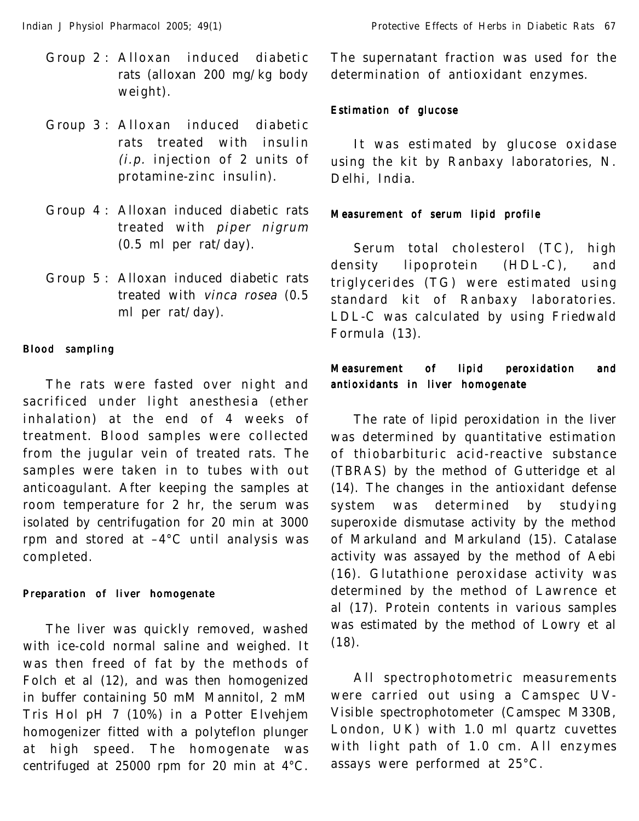- Group 2 : Alloxan induced diabetic rats (alloxan 200 mg/kg body weight).
- Group 3 : Alloxan induced diabetic rats treated with insulin (i.p. injection of 2 units of protamine-zinc insulin).
- Group 4 : Alloxan induced diabetic rats treated with piper nigrum (0.5 ml per rat/day).
- Group 5 : Alloxan induced diabetic rats treated with vinca rosea (0.5 ml per rat/day).

#### Blood sampling

The rats were fasted over night and sacrificed under light anesthesia (ether inhalation) at the end of 4 weeks of treatment. Blood samples were collected from the jugular vein of treated rats. The samples were taken in to tubes with out anticoagulant. After keeping the samples at room temperature for 2 hr, the serum was isolated by centrifugation for 20 min at 3000 rpm and stored at –4°C until analysis was completed.

## Preparation of liver homogenate

The liver was quickly removed, washed with ice-cold normal saline and weighed. It was then freed of fat by the methods of Folch et al (12), and was then homogenized in buffer containing 50 mM Mannitol, 2 mM Tris Hol pH 7 (10%) in a Potter Elvehjem homogenizer fitted with a polyteflon plunger at high speed. The homogenate was centrifuged at 25000 rpm for 20 min at 4°C.

The supernatant fraction was used for the determination of antioxidant enzymes.

## Estimation of glucose

It was estimated by glucose oxidase using the kit by Ranbaxy laboratories, N. Delhi, India.

## Measurement of serum lipid profile

Serum total cholesterol (TC), high density lipoprotein (HDL-C), and triglycerides (TG) were estimated using standard kit of Ranbaxy laboratories. LDL-C was calculated by using Friedwald Formula (13).

# Measurement of lipid peroxidation and antioxidants in liver homogenate

The rate of lipid peroxidation in the liver was determined by quantitative estimation of thiobarbituric acid-reactive substance (TBRAS) by the method of Gutteridge et al (14). The changes in the antioxidant defense system was determined by studying superoxide dismutase activity by the method of Markuland and Markuland (15). Catalase activity was assayed by the method of Aebi (16). Glutathione peroxidase activity was determined by the method of Lawrence et al (17). Protein contents in various samples was estimated by the method of Lowry et al  $(18)$ .

All spectrophotometric measurements were carried out using a Camspec UV-Visible spectrophotometer (Camspec M330B, London, UK) with 1.0 ml quartz cuvettes with light path of 1.0 cm. All enzymes assays were performed at 25°C.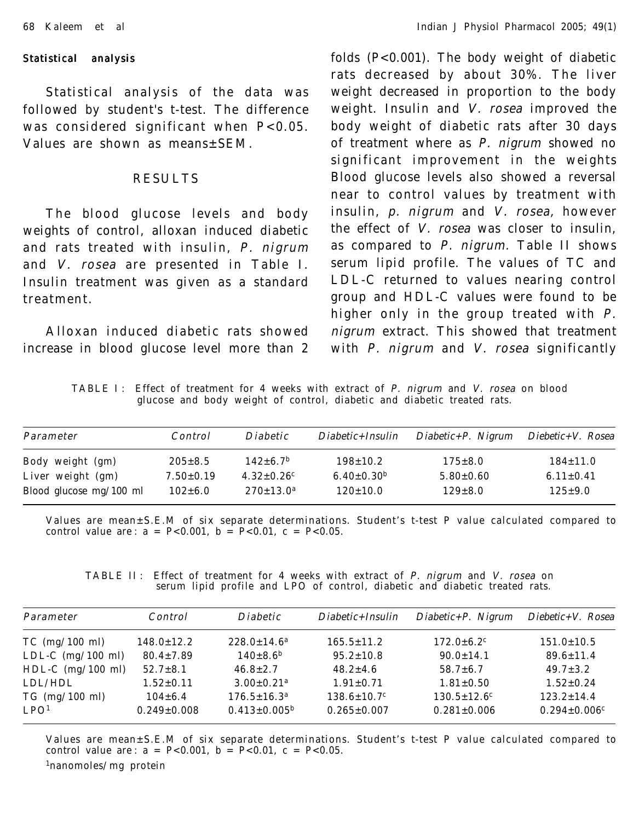#### Statistical analysis

Statistical analysis of the data was followed by student's t-test. The difference was considered significant when P<0.05. Values are shown as means±SEM.

# RESULTS

The blood glucose levels and body weights of control, alloxan induced diabetic and rats treated with insulin, P. nigrum and V. rosea are presented in Table I. Insulin treatment was given as a standard treatment.

Alloxan induced diabetic rats showed increase in blood glucose level more than 2 folds (P<0.001). The body weight of diabetic rats decreased by about 30%. The liver weight decreased in proportion to the body weight. Insulin and V. rosea improved the body weight of diabetic rats after 30 days of treatment where as P. nigrum showed no significant improvement in the weights Blood glucose levels also showed a reversal near to control values by treatment with insulin, p. nigrum and V. rosea, however the effect of V. rosea was closer to insulin, as compared to P. nigrum. Table II shows serum lipid profile. The values of TC and LDL-C returned to values nearing control group and HDL-C values were found to be higher only in the group treated with P. nigrum extract. This showed that treatment with P. nigrum and V. rosea significantly

TABLE I: Effect of treatment for 4 weeks with extract of P. nigrum and V. rosea on blood glucose and body weight of control, diabetic and diabetic treated rats.

| Parameter                 | Control         | <i>Diabetic</i>              | $Diabetic + Insulin$         | $Diabetic + P.$ Nigrum | $Diebetic+V. Rosea$ |
|---------------------------|-----------------|------------------------------|------------------------------|------------------------|---------------------|
| Body weight (gm)          | $205 \pm 8.5$   | $142 \pm 6.7^{\rm b}$        | $198 \pm 10.2$               | $175 \pm 8.0$          | $184 \pm 11.0$      |
| Liver weight (gm)         | $7.50 \pm 0.19$ | $4.32 \pm 0.26$ <sup>c</sup> | 6.40 $\pm$ 0.30 <sup>b</sup> | $5.80 \pm 0.60$        | $6.11 \pm 0.41$     |
| Blood glucose $mg/100$ ml | $102 \pm 6.0$   | $270 \pm 13.0^{\rm a}$       | $120 \pm 10.0$               | $129 \pm 8.0$          | $125 \pm 9.0$       |

Values are mean±S.E.M of six separate determinations. Student's t-test P value calculated compared to control value are:  $a = P < 0.001$ ,  $b = P < 0.01$ ,  $c = P < 0.05$ .

TABLE II: Effect of treatment for 4 weeks with extract of P. nigrum and V. rosea on serum lipid profile and LPO of control, diabetic and diabetic treated rats.

| Parameter                                | Control                            | <i>Diabetic</i>                                 | $Diabetic + Insulin$                               | $Diabetic + P.$ Nigrum                             | $Diebetic+V. Rosea$                                |
|------------------------------------------|------------------------------------|-------------------------------------------------|----------------------------------------------------|----------------------------------------------------|----------------------------------------------------|
| $TC$ (mg/100 ml)                         | $148.0 \pm 12.2$                   | $228.0 \pm 14.6^a$                              | $165.5 \pm 11.2$                                   | $172.0 \pm 6.2$ <sup>c</sup>                       | $151.0 \pm 10.5$                                   |
| LDL-C $(mg/100 \text{ ml})$              | $80.4 \pm 7.89$                    | $140 \pm 8.6^{\rm b}$                           | $95.2 \pm 10.8$                                    | $90.0 \pm 14.1$                                    | $89.6 \pm 11.4$                                    |
| HDL-C $(mg/100 \text{ ml})$              | $52.7 \pm 8.1$                     | $46.8 \pm 2.7$                                  | $48.2 \pm 4.6$                                     | $58.7 \pm 6.7$                                     | $49.7 \pm 3.2$                                     |
| LDL/HDL                                  | $1.52 \pm 0.11$                    | $3.00 \pm 0.21$ <sup>a</sup>                    | $1.91 \pm 0.71$                                    | $1.81 \pm 0.50$                                    | $1.52 \pm 0.24$                                    |
| $TG \ (mg/100 \ ml)$<br>LPO <sup>1</sup> | $104 \pm 6.4$<br>$0.249 \pm 0.008$ | $176.5 \pm 16.3^a$<br>$0.413 \pm 0.005^{\rm b}$ | $138.6 \pm 10.7$ <sup>c</sup><br>$0.265 \pm 0.007$ | $130.5 \pm 12.6$ <sup>c</sup><br>$0.281 \pm 0.006$ | $123.2 \pm 14.4$<br>$0.294 \pm 0.006$ <sup>c</sup> |

Values are mean±S.E.M of six separate determinations. Student's t-test P value calculated compared to control value are :  $a = P < 0.001$ ,  $b = P < 0.01$ ,  $c = P < 0.05$ . 1nanomoles/mg protein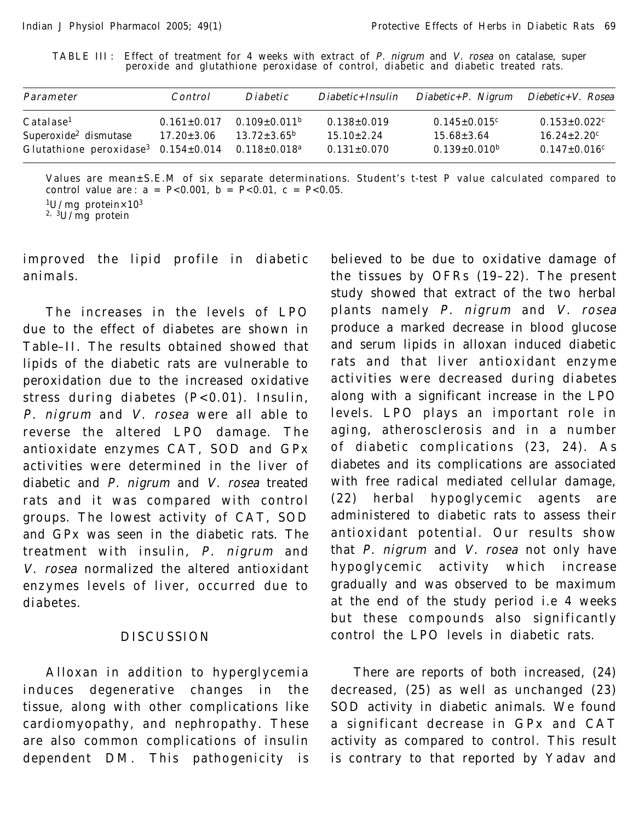TABLE III : Effect of treatment for 4 weeks with extract of P. nigrum and V. rosea on catalase, super peroxide and glutathione peroxidase of control, diabetic and diabetic treated rats.

| Parameter                                                                                                                                          | Control                               | <i>Diabetic</i>                                       | $Diabetic + Insulin$                                       | $Diabetic + P.$ Nigrum                                                    | Diebetic+V. Rosea                                                                                 |
|----------------------------------------------------------------------------------------------------------------------------------------------------|---------------------------------------|-------------------------------------------------------|------------------------------------------------------------|---------------------------------------------------------------------------|---------------------------------------------------------------------------------------------------|
| Catalase <sup>1</sup><br>Superoxide <sup>2</sup> dismutase<br>Glutathione peroxidase <sup>3</sup> $0.154 \pm 0.014$ $0.118 \pm 0.018$ <sup>a</sup> | $0.161 \pm 0.017$<br>$17.20 \pm 3.06$ | $0.109 \pm 0.011^{\rm b}$<br>$13.72 \pm 3.65^{\circ}$ | $0.138 \pm 0.019$<br>$15.10 \pm 2.24$<br>$0.131 \pm 0.070$ | $0.145 \pm 0.015$ <sup>c</sup><br>$15.68 \pm 3.64$<br>$0.139 \pm 0.010^b$ | $0.153 \pm 0.022$ <sup>c</sup><br>$16.24 \pm 2.20$ <sup>c</sup><br>$0.147 \pm 0.016$ <sup>c</sup> |

Values are mean±S.E.M of six separate determinations. Student's t-test P value calculated compared to control value are :  $a = P < 0.001$ ,  $b = P < 0.01$ ,  $c = P < 0.05$ .  $1$ U/mg protein×10<sup>3</sup>

2, 3U/mg protein

improved the lipid profile in diabetic animals.

The increases in the levels of LPO due to the effect of diabetes are shown in Table–II. The results obtained showed that lipids of the diabetic rats are vulnerable to peroxidation due to the increased oxidative stress during diabetes (P<0.01). Insulin, P. nigrum and V. rosea were all able to reverse the altered LPO damage. The antioxidate enzymes CAT, SOD and GPx activities were determined in the liver of diabetic and P. nigrum and V. rosea treated rats and it was compared with control groups. The lowest activity of CAT, SOD and GPx was seen in the diabetic rats. The treatment with insulin, P. nigrum and V. rosea normalized the altered antioxidant enzymes levels of liver, occurred due to diabetes.

# DISCUSSION

Alloxan in addition to hyperglycemia induces degenerative changes in the tissue, along with other complications like cardiomyopathy, and nephropathy. These are also common complications of insulin dependent DM. This pathogenicity is believed to be due to oxidative damage of the tissues by OFRs (19–22). The present study showed that extract of the two herbal plants namely P. nigrum and V. rosea produce a marked decrease in blood glucose and serum lipids in alloxan induced diabetic rats and that liver antioxidant enzyme activities were decreased during diabetes along with a significant increase in the LPO levels. LPO plays an important role in aging, atherosclerosis and in a number of diabetic complications (23, 24). As diabetes and its complications are associated with free radical mediated cellular damage, (22) herbal hypoglycemic agents are administered to diabetic rats to assess their antioxidant potential. Our results show that P. nigrum and V. rosea not only have hypoglycemic activity which increase gradually and was observed to be maximum at the end of the study period i.e 4 weeks but these compounds also significantly control the LPO levels in diabetic rats.

There are reports of both increased, (24) decreased, (25) as well as unchanged (23) SOD activity in diabetic animals. We found a significant decrease in GPx and CAT activity as compared to control. This result is contrary to that reported by Yadav and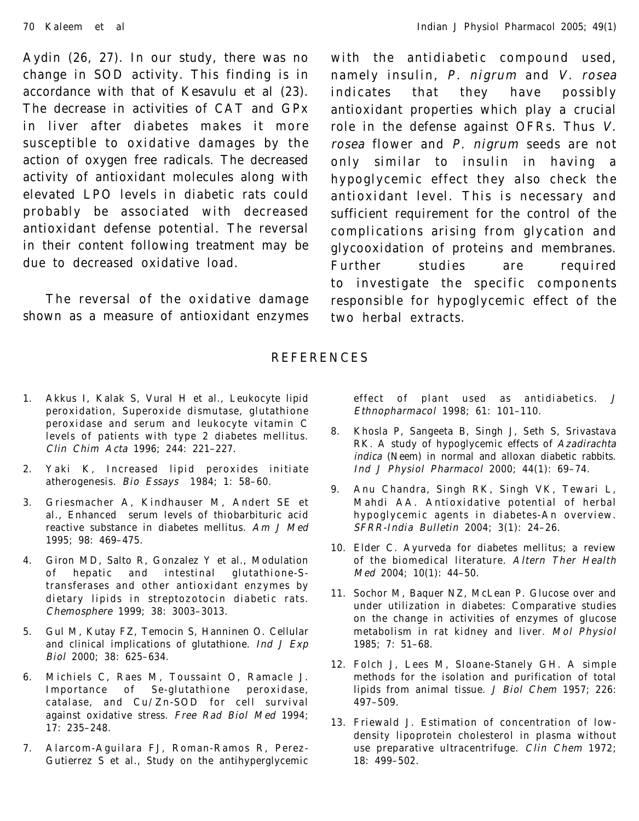Aydin (26, 27). In our study, there was no change in SOD activity. This finding is in accordance with that of Kesavulu et al (23). The decrease in activities of CAT and GPx in liver after diabetes makes it more susceptible to oxidative damages by the action of oxygen free radicals. The decreased activity of antioxidant molecules along with elevated LPO levels in diabetic rats could probably be associated with decreased antioxidant defense potential. The reversal in their content following treatment may be due to decreased oxidative load.

The reversal of the oxidative damage shown as a measure of antioxidant enzymes

with the antidiabetic compound used, namely insulin, P. nigrum and V. rosea indicates that they have possibly antioxidant properties which play a crucial role in the defense against OFRs. Thus V. rosea flower and P. nigrum seeds are not only similar to insulin in having a hypoglycemic effect they also check the antioxidant level. This is necessary and sufficient requirement for the control of the complications arising from glycation and glycooxidation of proteins and membranes. Further studies are required to investigate the specific components responsible for hypoglycemic effect of the two herbal extracts.

## REFERENCES

- 1. Akkus I, Kalak S, Vural H et al., Leukocyte lipid peroxidation, Superoxide dismutase, glutathione peroxidase and serum and leukocyte vitamin C levels of patients with type 2 diabetes mellitus. Clin Chim Acta 1996; 244: 221–227.
- 2. Yaki K, Increased lipid peroxides initiate atherogenesis. Bio Essays 1984; 1: 58–60.
- 3. Griesmacher A, Kindhauser M, Andert SE et al., Enhanced serum levels of thiobarbituric acid reactive substance in diabetes mellitus. Am J Med 1995; 98: 469–475.
- 4. Giron MD, Salto R, Gonzalez Y et al., Modulation of hepatic and intestinal glutathione-Stransferases and other antioxidant enzymes by dietary lipids in streptozotocin diabetic rats. Chemosphere 1999; 38: 3003–3013.
- 5. Gul M, Kutay FZ, Temocin S, Hanninen O. Cellular and clinical implications of glutathione. Ind J Exp Biol 2000; 38: 625–634.
- 6. Michiels C, Raes M, Toussaint O, Ramacle J. Importance of Se-glutathione peroxidase, catalase, and Cu/Zn-SOD for cell survival against oxidative stress. Free Rad Biol Med 1994; 17: 235–248.
- 7. Alarcom-Aguilara FJ, Roman-Ramos R, Perez-Gutierrez S et al., Study on the antihyperglycemic

effect of plant used as antidiabetics. J Ethnopharmacol 1998; 61: 101–110.

- 8. Khosla P, Sangeeta B, Singh J, Seth S, Srivastava RK. A study of hypoglycemic effects of Azadirachta indica (Neem) in normal and alloxan diabetic rabbits. Ind J Physiol Pharmacol 2000; 44(1): 69–74.
- 9. Anu Chandra, Singh RK, Singh VK, Tewari L, Mahdi AA. Antioxidative potential of herbal hypoglycemic agents in diabetes-An overview. SFRR-India Bulletin 2004; 3(1): 24–26.
- 10. Elder C. Ayurveda for diabetes mellitus; a review of the biomedical literature. Altern Ther Health Med 2004; 10(1): 44–50.
- 11. Sochor M, Baquer NZ, McLean P. Glucose over and under utilization in diabetes: Comparative studies on the change in activities of enzymes of glucose metabolism in rat kidney and liver. Mol Physiol 1985; 7: 51–68.
- 12. Folch J, Lees M, Sloane-Stanely GH. A simple methods for the isolation and purification of total lipids from animal tissue. J Biol Chem 1957; 226: 497–509.
- 13. Friewald J. Estimation of concentration of lowdensity lipoprotein cholesterol in plasma without use preparative ultracentrifuge. Clin Chem 1972; 18: 499–502.